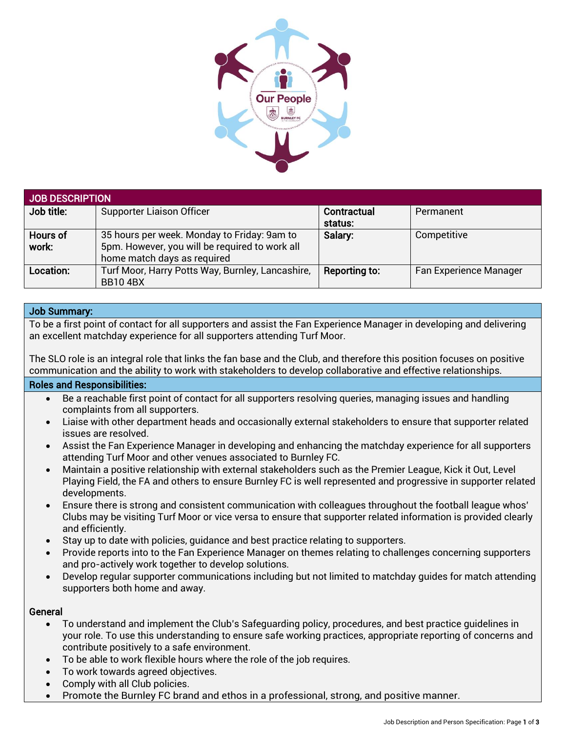

| <b>JOB DESCRIPTION</b> |                                                                    |               |                        |  |
|------------------------|--------------------------------------------------------------------|---------------|------------------------|--|
| Job title:             | Supporter Liaison Officer                                          | Contractual   | Permanent              |  |
|                        |                                                                    | status:       |                        |  |
| <b>Hours of</b>        | 35 hours per week. Monday to Friday: 9am to                        | Salary:       | Competitive            |  |
| work:                  | 5pm. However, you will be required to work all                     |               |                        |  |
|                        | home match days as required                                        |               |                        |  |
| Location:              | Turf Moor, Harry Potts Way, Burnley, Lancashire,<br><b>BB104BX</b> | Reporting to: | Fan Experience Manager |  |

## Job Summary:

To be a first point of contact for all supporters and assist the Fan Experience Manager in developing and delivering an excellent matchday experience for all supporters attending Turf Moor.

The SLO role is an integral role that links the fan base and the Club, and therefore this position focuses on positive communication and the ability to work with stakeholders to develop collaborative and effective relationships.

## Roles and Responsibilities:

- Be a reachable first point of contact for all supporters resolving queries, managing issues and handling complaints from all supporters.
- Liaise with other department heads and occasionally external stakeholders to ensure that supporter related issues are resolved.
- Assist the Fan Experience Manager in developing and enhancing the matchday experience for all supporters attending Turf Moor and other venues associated to Burnley FC.
- Maintain a positive relationship with external stakeholders such as the Premier League, Kick it Out, Level Playing Field, the FA and others to ensure Burnley FC is well represented and progressive in supporter related developments.
- Ensure there is strong and consistent communication with colleagues throughout the football league whos' Clubs may be visiting Turf Moor or vice versa to ensure that supporter related information is provided clearly and efficiently.
- Stay up to date with policies, guidance and best practice relating to supporters.
- Provide reports into to the Fan Experience Manager on themes relating to challenges concerning supporters and pro-actively work together to develop solutions.
- Develop regular supporter communications including but not limited to matchday guides for match attending supporters both home and away.

## General

- To understand and implement the Club's Safeguarding policy, procedures, and best practice guidelines in your role. To use this understanding to ensure safe working practices, appropriate reporting of concerns and contribute positively to a safe environment.
- To be able to work flexible hours where the role of the job requires.
- To work towards agreed objectives.
- Comply with all Club policies.
- Promote the Burnley FC brand and ethos in a professional, strong, and positive manner.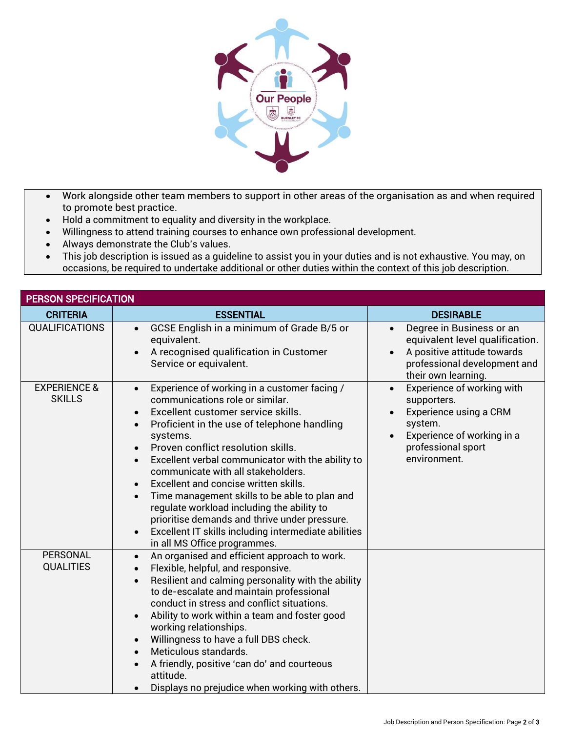

- Work alongside other team members to support in other areas of the organisation as and when required to promote best practice.
- Hold a commitment to equality and diversity in the workplace.
- Willingness to attend training courses to enhance own professional development.
- Always demonstrate the Club's values.
- This job description is issued as a guideline to assist you in your duties and is not exhaustive. You may, on occasions, be required to undertake additional or other duties within the context of this job description.

| <b>PERSON SPECIFICATION</b>              |                                                                                                                                                                                                                                                                                                                                                                                                                                                                                                                                                                                                                                                                                                            |                                                                                                                                                                 |  |  |
|------------------------------------------|------------------------------------------------------------------------------------------------------------------------------------------------------------------------------------------------------------------------------------------------------------------------------------------------------------------------------------------------------------------------------------------------------------------------------------------------------------------------------------------------------------------------------------------------------------------------------------------------------------------------------------------------------------------------------------------------------------|-----------------------------------------------------------------------------------------------------------------------------------------------------------------|--|--|
| <b>CRITERIA</b>                          | <b>ESSENTIAL</b>                                                                                                                                                                                                                                                                                                                                                                                                                                                                                                                                                                                                                                                                                           | <b>DESIRABLE</b>                                                                                                                                                |  |  |
| <b>QUALIFICATIONS</b>                    | GCSE English in a minimum of Grade B/5 or<br>$\bullet$<br>equivalent.<br>A recognised qualification in Customer<br>$\bullet$<br>Service or equivalent.                                                                                                                                                                                                                                                                                                                                                                                                                                                                                                                                                     | Degree in Business or an<br>$\bullet$<br>equivalent level qualification.<br>A positive attitude towards<br>professional development and<br>their own learning.  |  |  |
| <b>EXPERIENCE &amp;</b><br><b>SKILLS</b> | Experience of working in a customer facing /<br>$\bullet$<br>communications role or similar.<br>Excellent customer service skills.<br>$\bullet$<br>Proficient in the use of telephone handling<br>$\bullet$<br>systems.<br>Proven conflict resolution skills.<br>$\bullet$<br>Excellent verbal communicator with the ability to<br>$\bullet$<br>communicate with all stakeholders.<br>Excellent and concise written skills.<br>$\bullet$<br>Time management skills to be able to plan and<br>$\bullet$<br>regulate workload including the ability to<br>prioritise demands and thrive under pressure.<br>Excellent IT skills including intermediate abilities<br>$\bullet$<br>in all MS Office programmes. | Experience of working with<br>supporters.<br>Experience using a CRM<br>system.<br>Experience of working in a<br>$\bullet$<br>professional sport<br>environment. |  |  |
| PERSONAL<br><b>QUALITIES</b>             | An organised and efficient approach to work.<br>$\bullet$<br>Flexible, helpful, and responsive.<br>$\bullet$<br>Resilient and calming personality with the ability<br>$\bullet$<br>to de-escalate and maintain professional<br>conduct in stress and conflict situations.<br>Ability to work within a team and foster good<br>$\bullet$<br>working relationships.<br>Willingness to have a full DBS check.<br>$\bullet$<br>Meticulous standards.<br>$\bullet$<br>A friendly, positive 'can do' and courteous<br>$\bullet$<br>attitude.<br>Displays no prejudice when working with others.                                                                                                                  |                                                                                                                                                                 |  |  |